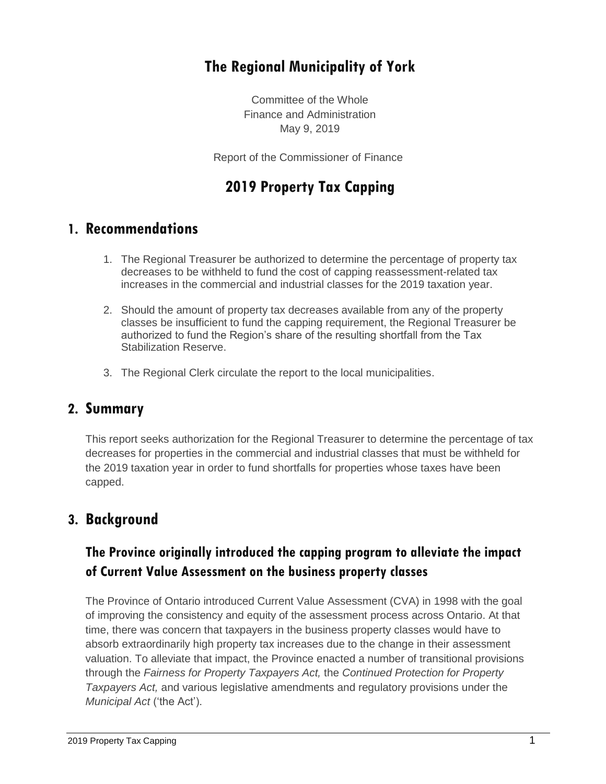# **The Regional Municipality of York**

Committee of the Whole Finance and Administration May 9, 2019

Report of the Commissioner of Finance

# **2019 Property Tax Capping**

### **1. Recommendations**

- 1. The Regional Treasurer be authorized to determine the percentage of property tax decreases to be withheld to fund the cost of capping reassessment-related tax increases in the commercial and industrial classes for the 2019 taxation year.
- 2. Should the amount of property tax decreases available from any of the property classes be insufficient to fund the capping requirement, the Regional Treasurer be authorized to fund the Region's share of the resulting shortfall from the Tax Stabilization Reserve.
- 3. The Regional Clerk circulate the report to the local municipalities.

### **2. Summary**

This report seeks authorization for the Regional Treasurer to determine the percentage of tax decreases for properties in the commercial and industrial classes that must be withheld for the 2019 taxation year in order to fund shortfalls for properties whose taxes have been capped.

### **3. Background**

### **The Province originally introduced the capping program to alleviate the impact of Current Value Assessment on the business property classes**

The Province of Ontario introduced Current Value Assessment (CVA) in 1998 with the goal of improving the consistency and equity of the assessment process across Ontario. At that time, there was concern that taxpayers in the business property classes would have to absorb extraordinarily high property tax increases due to the change in their assessment valuation. To alleviate that impact, the Province enacted a number of transitional provisions through the *Fairness for Property Taxpayers Act,* the *Continued Protection for Property Taxpayers Act,* and various legislative amendments and regulatory provisions under the *Municipal Act* ('the Act').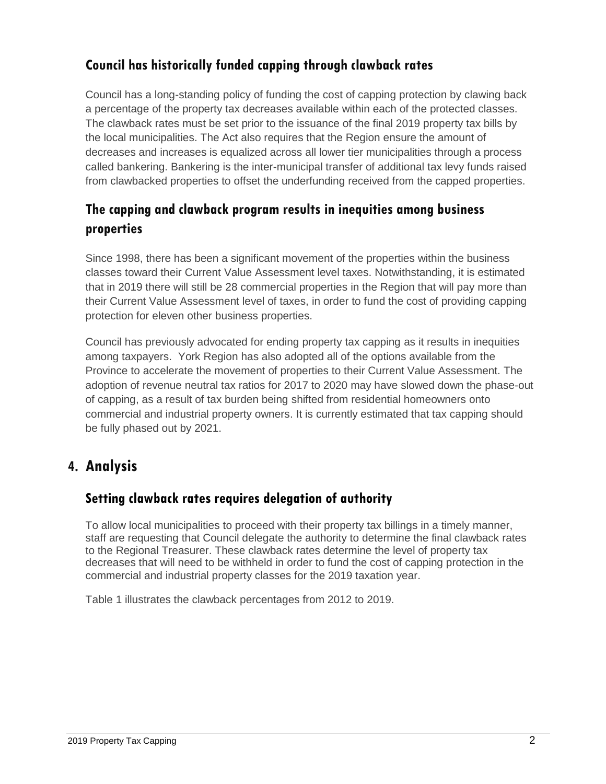### **Council has historically funded capping through clawback rates**

Council has a long-standing policy of funding the cost of capping protection by clawing back a percentage of the property tax decreases available within each of the protected classes. The clawback rates must be set prior to the issuance of the final 2019 property tax bills by the local municipalities. The Act also requires that the Region ensure the amount of decreases and increases is equalized across all lower tier municipalities through a process called bankering. Bankering is the inter-municipal transfer of additional tax levy funds raised from clawbacked properties to offset the underfunding received from the capped properties.

# **The capping and clawback program results in inequities among business properties**

Since 1998, there has been a significant movement of the properties within the business classes toward their Current Value Assessment level taxes. Notwithstanding, it is estimated that in 2019 there will still be 28 commercial properties in the Region that will pay more than their Current Value Assessment level of taxes, in order to fund the cost of providing capping protection for eleven other business properties.

Council has previously advocated for ending property tax capping as it results in inequities among taxpayers. York Region has also adopted all of the options available from the Province to accelerate the movement of properties to their Current Value Assessment. The adoption of revenue neutral tax ratios for 2017 to 2020 may have slowed down the phase-out of capping, as a result of tax burden being shifted from residential homeowners onto commercial and industrial property owners. It is currently estimated that tax capping should be fully phased out by 2021.

# **4. Analysis**

### **Setting clawback rates requires delegation of authority**

To allow local municipalities to proceed with their property tax billings in a timely manner, staff are requesting that Council delegate the authority to determine the final clawback rates to the Regional Treasurer. These clawback rates determine the level of property tax decreases that will need to be withheld in order to fund the cost of capping protection in the commercial and industrial property classes for the 2019 taxation year.

Table 1 illustrates the clawback percentages from 2012 to 2019.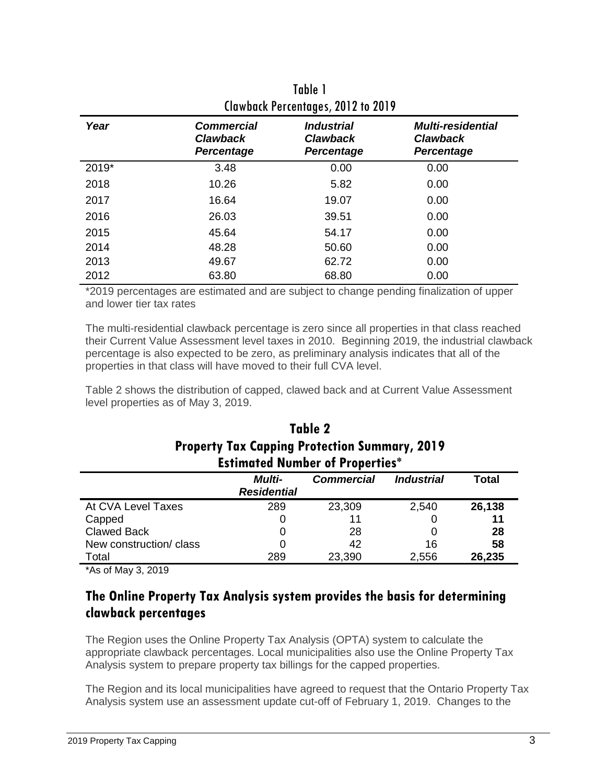| Clawback Percentages, 2012 to 2019 |                                                           |                                                                  |                                                                  |  |  |  |
|------------------------------------|-----------------------------------------------------------|------------------------------------------------------------------|------------------------------------------------------------------|--|--|--|
| Year                               | <b>Commercial</b><br><b>Clawback</b><br><b>Percentage</b> | <i><b>Industrial</b></i><br><b>Clawback</b><br><b>Percentage</b> | <b>Multi-residential</b><br><b>Clawback</b><br><b>Percentage</b> |  |  |  |
| 2019*                              | 3.48                                                      | 0.00                                                             | 0.00                                                             |  |  |  |
| 2018                               | 10.26                                                     | 5.82                                                             | 0.00                                                             |  |  |  |
| 2017                               | 16.64                                                     | 19.07                                                            | 0.00                                                             |  |  |  |
| 2016                               | 26.03                                                     | 39.51                                                            | 0.00                                                             |  |  |  |
| 2015                               | 45.64                                                     | 54.17                                                            | 0.00                                                             |  |  |  |
| 2014                               | 48.28                                                     | 50.60                                                            | 0.00                                                             |  |  |  |
| 2013                               | 49.67                                                     | 62.72                                                            | 0.00                                                             |  |  |  |
| 2012                               | 63.80                                                     | 68.80                                                            | 0.00                                                             |  |  |  |

Table 1 Clawback Percentages, 2012 to 2019

\*2019 percentages are estimated and are subject to change pending finalization of upper and lower tier tax rates

The multi-residential clawback percentage is zero since all properties in that class reached their Current Value Assessment level taxes in 2010. Beginning 2019, the industrial clawback percentage is also expected to be zero, as preliminary analysis indicates that all of the properties in that class will have moved to their full CVA level.

Table 2 shows the distribution of capped, clawed back and at Current Value Assessment level properties as of May 3, 2019.

| Table 2                                              |  |  |  |  |
|------------------------------------------------------|--|--|--|--|
| <b>Property Tax Capping Protection Summary, 2019</b> |  |  |  |  |
| <b>Estimated Number of Properties*</b>               |  |  |  |  |

|                         | <b>Multi-</b><br><b>Residential</b> | <b>Commercial</b> | <i><b>Industrial</b></i> | Total  |  |  |
|-------------------------|-------------------------------------|-------------------|--------------------------|--------|--|--|
| At CVA Level Taxes      | 289                                 | 23,309            | 2,540                    | 26,138 |  |  |
| Capped                  | 0                                   | 11                |                          | 11     |  |  |
| <b>Clawed Back</b>      | 0                                   | 28                |                          | 28     |  |  |
| New construction/ class | 0                                   | 42                | 16                       | 58     |  |  |
| Total                   | 289                                 | 23,390            | 2,556                    | 26,235 |  |  |

\*As of May 3, 2019

### **The Online Property Tax Analysis system provides the basis for determining clawback percentages**

The Region uses the Online Property Tax Analysis (OPTA) system to calculate the appropriate clawback percentages. Local municipalities also use the Online Property Tax Analysis system to prepare property tax billings for the capped properties.

The Region and its local municipalities have agreed to request that the Ontario Property Tax Analysis system use an assessment update cut-off of February 1, 2019. Changes to the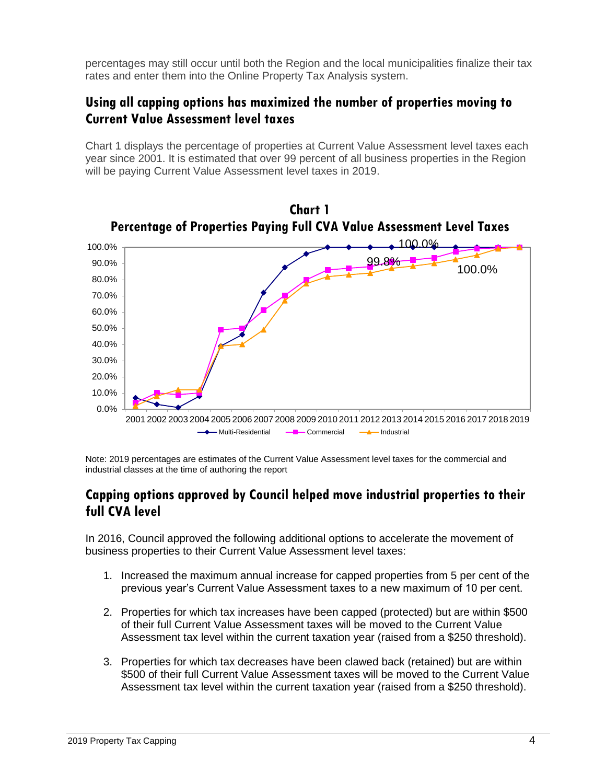percentages may still occur until both the Region and the local municipalities finalize their tax rates and enter them into the Online Property Tax Analysis system.

### **Using all capping options has maximized the number of properties moving to Current Value Assessment level taxes**

Chart 1 displays the percentage of properties at Current Value Assessment level taxes each year since 2001. It is estimated that over 99 percent of all business properties in the Region will be paying Current Value Assessment level taxes in 2019.



Note: 2019 percentages are estimates of the Current Value Assessment level taxes for the commercial and industrial classes at the time of authoring the report

#### **Capping options approved by Council helped move industrial properties to their full CVA level**

In 2016, Council approved the following additional options to accelerate the movement of business properties to their Current Value Assessment level taxes:

- 1. Increased the maximum annual increase for capped properties from 5 per cent of the previous year's Current Value Assessment taxes to a new maximum of 10 per cent.
- 2. Properties for which tax increases have been capped (protected) but are within \$500 of their full Current Value Assessment taxes will be moved to the Current Value Assessment tax level within the current taxation year (raised from a \$250 threshold).
- 3. Properties for which tax decreases have been clawed back (retained) but are within \$500 of their full Current Value Assessment taxes will be moved to the Current Value Assessment tax level within the current taxation year (raised from a \$250 threshold).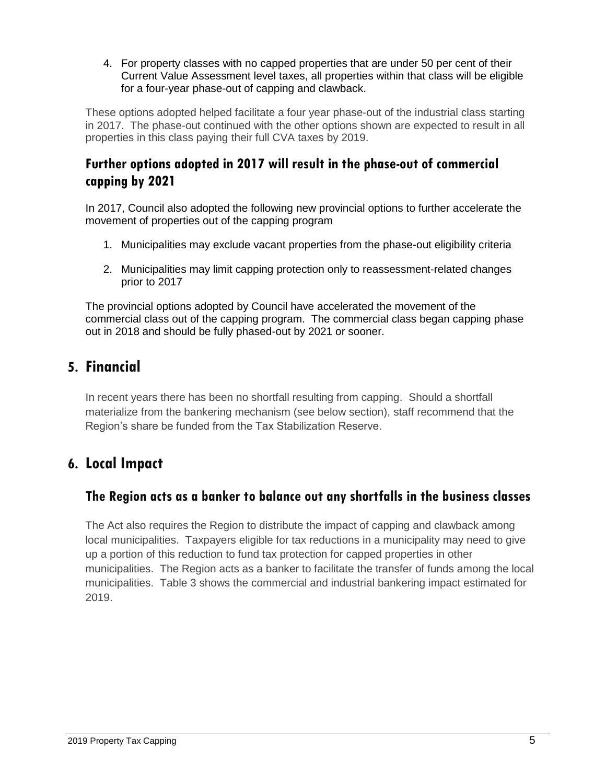4. For property classes with no capped properties that are under 50 per cent of their Current Value Assessment level taxes, all properties within that class will be eligible for a four-year phase-out of capping and clawback.

These options adopted helped facilitate a four year phase-out of the industrial class starting in 2017. The phase-out continued with the other options shown are expected to result in all properties in this class paying their full CVA taxes by 2019.

### **Further options adopted in 2017 will result in the phase-out of commercial capping by 2021**

In 2017, Council also adopted the following new provincial options to further accelerate the movement of properties out of the capping program

- 1. Municipalities may exclude vacant properties from the phase-out eligibility criteria
- 2. Municipalities may limit capping protection only to reassessment-related changes prior to 2017

The provincial options adopted by Council have accelerated the movement of the commercial class out of the capping program. The commercial class began capping phase out in 2018 and should be fully phased-out by 2021 or sooner.

# **5. Financial**

In recent years there has been no shortfall resulting from capping. Should a shortfall materialize from the bankering mechanism (see below section), staff recommend that the Region's share be funded from the Tax Stabilization Reserve.

# **6. Local Impact**

### **The Region acts as a banker to balance out any shortfalls in the business classes**

The Act also requires the Region to distribute the impact of capping and clawback among local municipalities. Taxpayers eligible for tax reductions in a municipality may need to give up a portion of this reduction to fund tax protection for capped properties in other municipalities. The Region acts as a banker to facilitate the transfer of funds among the local municipalities. Table 3 shows the commercial and industrial bankering impact estimated for 2019.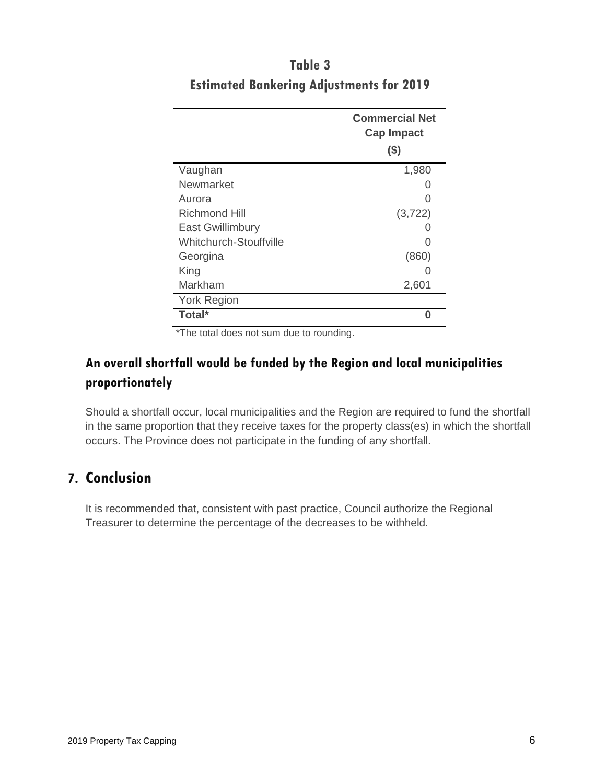|                         | <b>Commercial Net</b><br><b>Cap Impact</b> |
|-------------------------|--------------------------------------------|
|                         | $($ \$)                                    |
| Vaughan                 | 1,980                                      |
| Newmarket               |                                            |
| Aurora                  |                                            |
| <b>Richmond Hill</b>    | (3, 722)                                   |
| <b>East Gwillimbury</b> |                                            |
| Whitchurch-Stouffville  |                                            |
| Georgina                | (860)                                      |
| King                    |                                            |
| Markham                 | 2,601                                      |
| <b>York Region</b>      |                                            |
| Total*<br>$\cdots$      | O                                          |

# **Table 3 Estimated Bankering Adjustments for 2019**

\*The total does not sum due to rounding.

### **An overall shortfall would be funded by the Region and local municipalities proportionately**

Should a shortfall occur, local municipalities and the Region are required to fund the shortfall in the same proportion that they receive taxes for the property class(es) in which the shortfall occurs. The Province does not participate in the funding of any shortfall.

# **7. Conclusion**

It is recommended that, consistent with past practice, Council authorize the Regional Treasurer to determine the percentage of the decreases to be withheld.